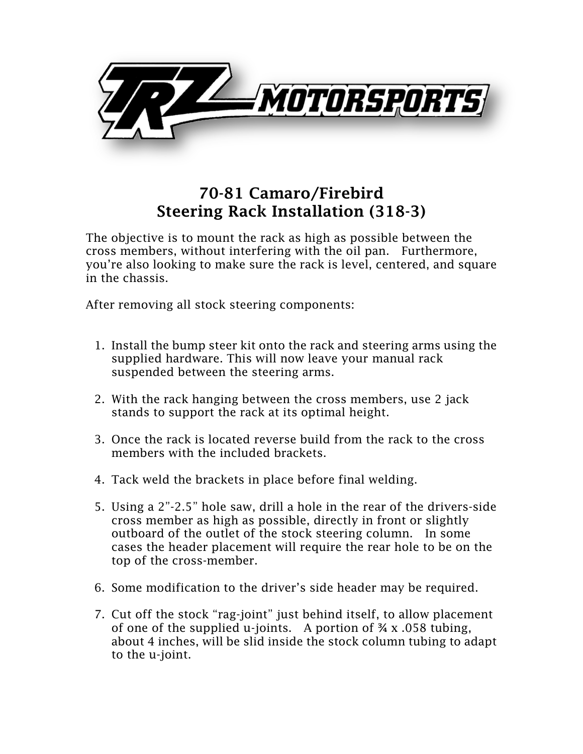

## **70-81 Camaro/Firebird Steering Rack Installation (318-3)**

The objective is to mount the rack as high as possible between the cross members, without interfering with the oil pan. Furthermore, you're also looking to make sure the rack is level, centered, and square in the chassis.

After removing all stock steering components:

- 1. Install the bump steer kit onto the rack and steering arms using the supplied hardware. This will now leave your manual rack suspended between the steering arms.
- 2. With the rack hanging between the cross members, use 2 jack stands to support the rack at its optimal height.
- 3. Once the rack is located reverse build from the rack to the cross members with the included brackets.
- 4. Tack weld the brackets in place before final welding.
- 5. Using a 2"-2.5" hole saw, drill a hole in the rear of the drivers-side cross member as high as possible, directly in front or slightly outboard of the outlet of the stock steering column. In some cases the header placement will require the rear hole to be on the top of the cross-member.
- 6. Some modification to the driver's side header may be required.
- 7. Cut off the stock "rag-joint" just behind itself, to allow placement of one of the supplied u-joints. A portion of ¾ x .058 tubing, about 4 inches, will be slid inside the stock column tubing to adapt to the u-joint.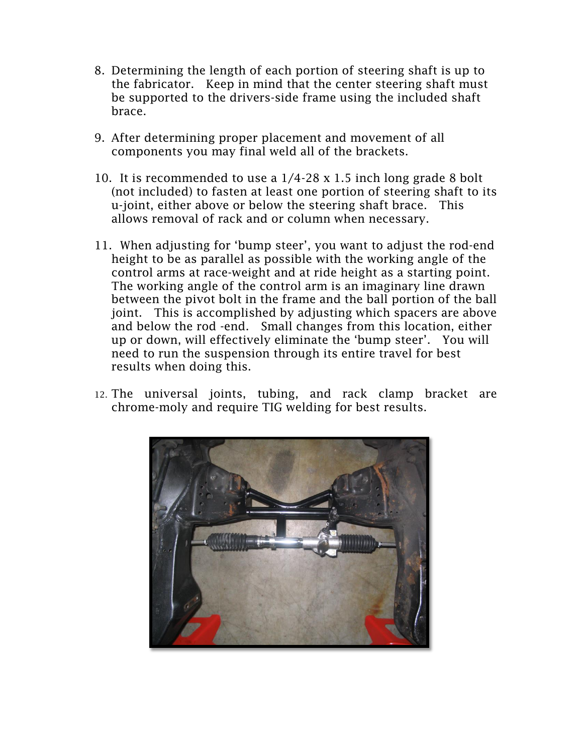- 8. Determining the length of each portion of steering shaft is up to the fabricator. Keep in mind that the center steering shaft must be supported to the drivers-side frame using the included shaft brace.
- 9. After determining proper placement and movement of all components you may final weld all of the brackets.
- 10. It is recommended to use a 1/4-28 x 1.5 inch long grade 8 bolt (not included) to fasten at least one portion of steering shaft to its u-joint, either above or below the steering shaft brace. This allows removal of rack and or column when necessary.
- 11. When adjusting for 'bump steer', you want to adjust the rod-end height to be as parallel as possible with the working angle of the control arms at race-weight and at ride height as a starting point. The working angle of the control arm is an imaginary line drawn between the pivot bolt in the frame and the ball portion of the ball joint. This is accomplished by adjusting which spacers are above and below the rod -end. Small changes from this location, either up or down, will effectively eliminate the 'bump steer'. You will need to run the suspension through its entire travel for best results when doing this.
- 12. The universal joints, tubing, and rack clamp bracket are chrome-moly and require TIG welding for best results.

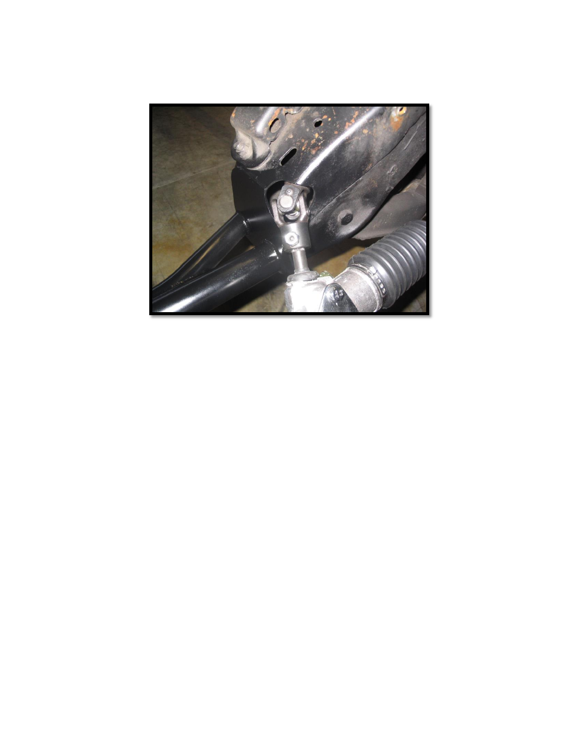